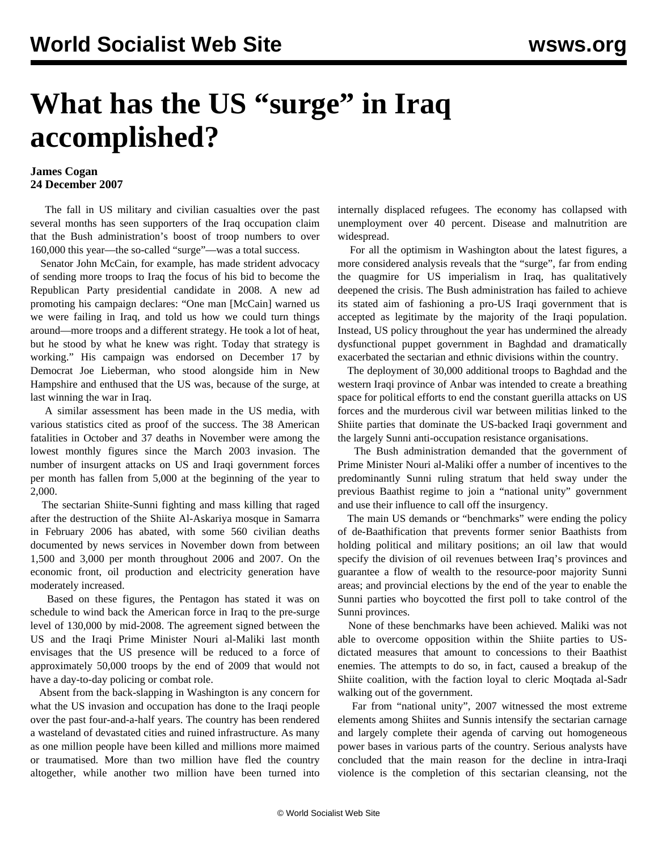## **What has the US "surge" in Iraq accomplished?**

## **James Cogan 24 December 2007**

 The fall in US military and civilian casualties over the past several months has seen supporters of the Iraq occupation claim that the Bush administration's boost of troop numbers to over 160,000 this year—the so-called "surge"—was a total success.

 Senator John McCain, for example, has made strident advocacy of sending more troops to Iraq the focus of his bid to become the Republican Party presidential candidate in 2008. A new ad promoting his campaign declares: "One man [McCain] warned us we were failing in Iraq, and told us how we could turn things around—more troops and a different strategy. He took a lot of heat, but he stood by what he knew was right. Today that strategy is working." His campaign was endorsed on December 17 by Democrat Joe Lieberman, who stood alongside him in New Hampshire and enthused that the US was, because of the surge, at last winning the war in Iraq.

 A similar assessment has been made in the US media, with various statistics cited as proof of the success. The 38 American fatalities in October and 37 deaths in November were among the lowest monthly figures since the March 2003 invasion. The number of insurgent attacks on US and Iraqi government forces per month has fallen from 5,000 at the beginning of the year to 2,000.

 The sectarian Shiite-Sunni fighting and mass killing that raged after the destruction of the Shiite Al-Askariya mosque in Samarra in February 2006 has abated, with some 560 civilian deaths documented by news services in November down from between 1,500 and 3,000 per month throughout 2006 and 2007. On the economic front, oil production and electricity generation have moderately increased.

 Based on these figures, the Pentagon has stated it was on schedule to wind back the American force in Iraq to the pre-surge level of 130,000 by mid-2008. The agreement signed between the US and the Iraqi Prime Minister Nouri al-Maliki last month envisages that the US presence will be reduced to a force of approximately 50,000 troops by the end of 2009 that would not have a day-to-day policing or combat role.

 Absent from the back-slapping in Washington is any concern for what the US invasion and occupation has done to the Iraqi people over the past four-and-a-half years. The country has been rendered a wasteland of devastated cities and ruined infrastructure. As many as one million people have been killed and millions more maimed or traumatised. More than two million have fled the country altogether, while another two million have been turned into internally displaced refugees. The economy has collapsed with unemployment over 40 percent. Disease and malnutrition are widespread.

 For all the optimism in Washington about the latest figures, a more considered analysis reveals that the "surge", far from ending the quagmire for US imperialism in Iraq, has qualitatively deepened the crisis. The Bush administration has failed to achieve its stated aim of fashioning a pro-US Iraqi government that is accepted as legitimate by the majority of the Iraqi population. Instead, US policy throughout the year has undermined the already dysfunctional puppet government in Baghdad and dramatically exacerbated the sectarian and ethnic divisions within the country.

 The deployment of 30,000 additional troops to Baghdad and the western Iraqi province of Anbar was intended to create a breathing space for political efforts to end the constant guerilla attacks on US forces and the murderous civil war between militias linked to the Shiite parties that dominate the US-backed Iraqi government and the largely Sunni anti-occupation resistance organisations.

 The Bush administration demanded that the government of Prime Minister Nouri al-Maliki offer a number of incentives to the predominantly Sunni ruling stratum that held sway under the previous Baathist regime to join a "national unity" government and use their influence to call off the insurgency.

 The main US demands or "benchmarks" were ending the policy of de-Baathification that prevents former senior Baathists from holding political and military positions; an oil law that would specify the division of oil revenues between Iraq's provinces and guarantee a flow of wealth to the resource-poor majority Sunni areas; and provincial elections by the end of the year to enable the Sunni parties who boycotted the first poll to take control of the Sunni provinces.

 None of these benchmarks have been achieved. Maliki was not able to overcome opposition within the Shiite parties to USdictated measures that amount to concessions to their Baathist enemies. The attempts to do so, in fact, caused a breakup of the Shiite coalition, with the faction loyal to cleric Moqtada al-Sadr walking out of the government.

 Far from "national unity", 2007 witnessed the most extreme elements among Shiites and Sunnis intensify the sectarian carnage and largely complete their agenda of carving out homogeneous power bases in various parts of the country. Serious analysts have concluded that the main reason for the decline in intra-Iraqi violence is the completion of this sectarian cleansing, not the